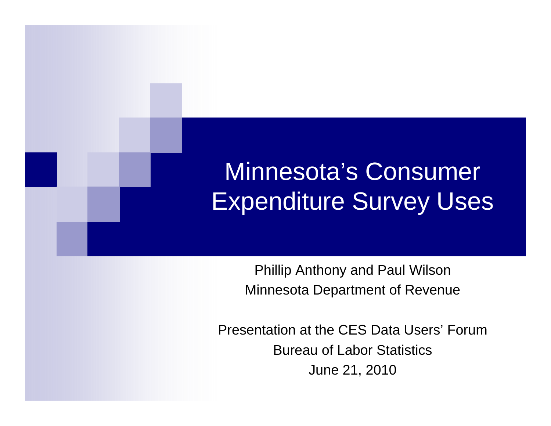### Minnesota's Consumer Expenditure Survey Uses

Phillip Anthony and Paul Wilson Minnesota Department of Revenue

Presentation at the CES Data Users' Forum Bureau of Labor Statistics June 21, 2010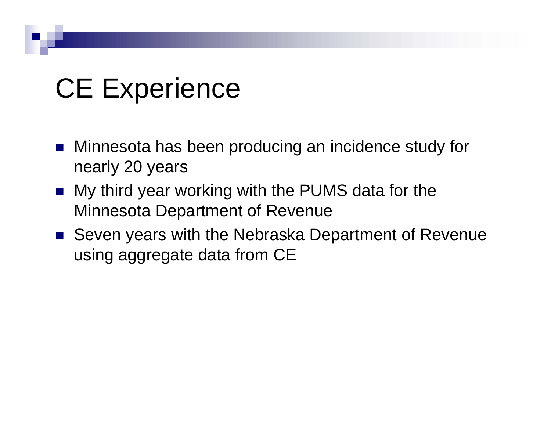# **CE Experience**

- Minnesota has been producing an incidence study for nearly 20 years
- **Ny third year working with the PUMS data for the** Minnesota Department of Revenue
- Seven years with the Nebraska Department of Revenue using aggregate data from CE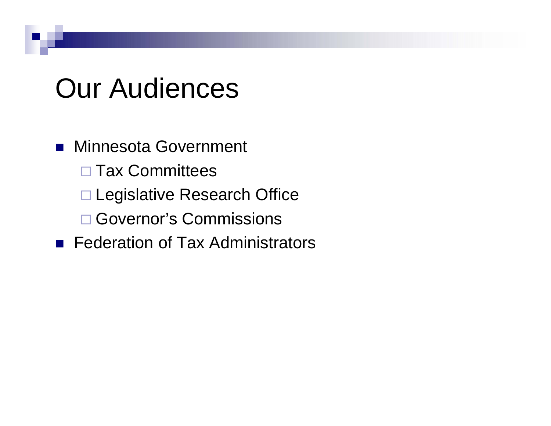### **Our Audiences**

### **Ninnesota Government**

- □ Tax Committees
- □ Legislative Research Office
- □ Governor's Commissions
- **F** Federation of Tax Administrators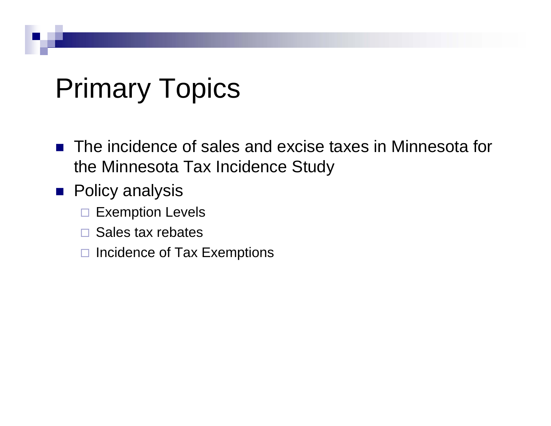# Primary Topics

- The incidence of sales and excise taxes in Minnesota for the Minnesota Tax Incidence Study
- **Policy analysis** 
	- $\Box$ Exemption Levels
	- $\Box$ Sales tax rebates
	- □ Incidence of Tax Exemptions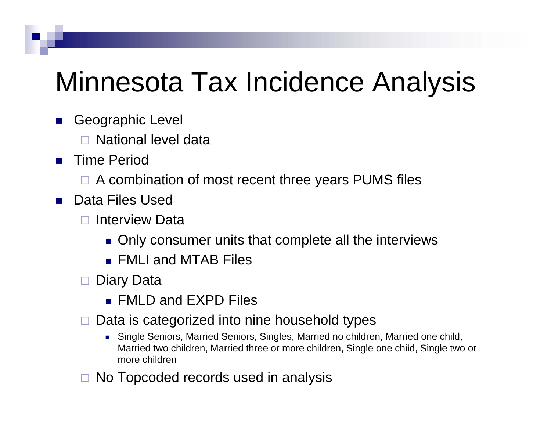## Minnesota Tax Incidence Analysis

- У. Geographic Level
	- $\Box$ National level data
- $\sim 10$  Time Period
	- □ A combination of most recent three years PUMS files
- $\mathcal{L}_{\mathcal{A}}$  Data Files Used
	- п Interview Data
		- $\blacksquare$  Only consumer units that complete all the interviews
		- **EXALLE AND MTAB Files**
	- □ Diary Data
		- FMLD and EXPD Files
	- $\Box$  Data is categorized into nine household types
		- Single Seniors, Married Seniors, Singles, Married no children, Married one child, Married two children, Married three or more children, Single one child, Single two or more children
	- $\Box$ No Topcoded records used in analysis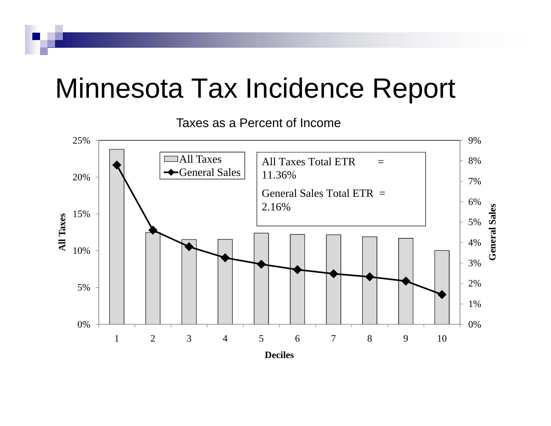### Minnesota Tax Incidence Report

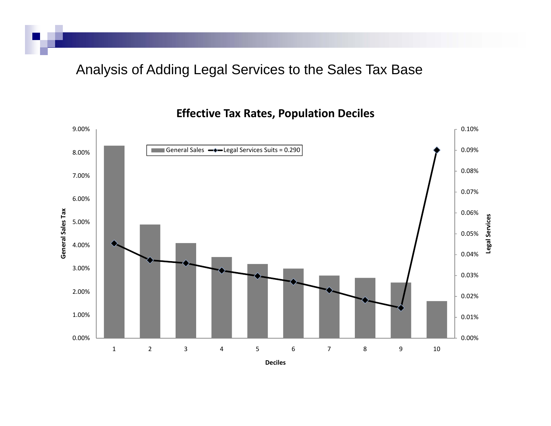Analysis of Adding Legal Services to the Sales Tax Base

**Effective Tax Rates, Population Deciles**

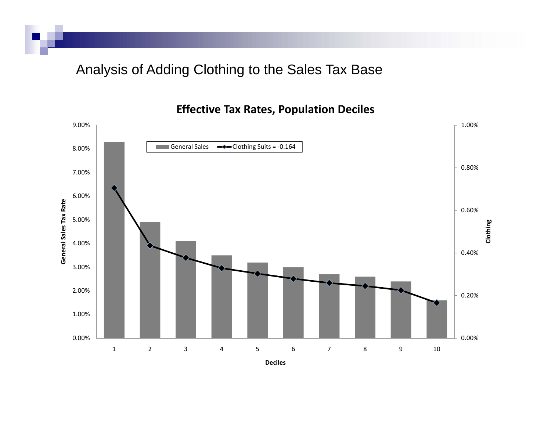Analysis of Adding Clothing to the Sales Tax Base

**Effective Tax Rates, Population Deciles**

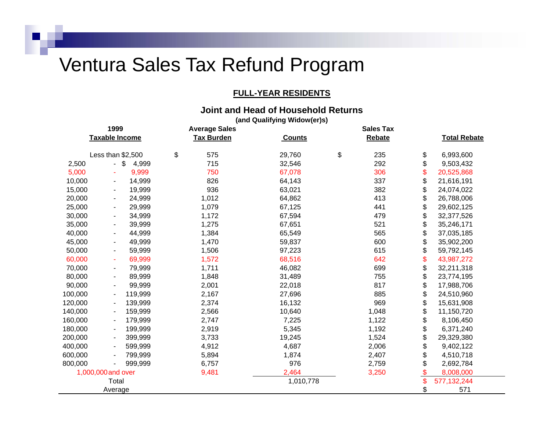### Ventura Sales Tax Refund Program

#### **FULL-YEAR RESIDENTS**

#### **Joint and Head of Household Returns**

**(and Qualifying Widow(er)s)**

| 1999               |                          |             | <b>Average Sales</b> |  | <b>Sales Tax</b> |    |        |          |                     |
|--------------------|--------------------------|-------------|----------------------|--|------------------|----|--------|----------|---------------------|
|                    | Taxable Income           |             | <b>Tax Burden</b>    |  | <b>Counts</b>    |    | Rebate |          | <b>Total Rebate</b> |
|                    | Less than \$2,500        |             | \$<br>575            |  | 29,760           | \$ | 235    | \$       | 6,993,600           |
| 2,500              | $\Delta \phi$            | \$<br>4,999 | 715                  |  | 32,546           |    | 292    | \$       | 9,503,432           |
| 5,000              |                          | 9,999       | 750                  |  | 67,078           |    | 306    | \$       | 20,525,868          |
| 10,000             | н.                       | 14,999      | 826                  |  | 64,143           |    | 337    | \$       | 21,616,191          |
| 15,000             | $\blacksquare$           | 19,999      | 936                  |  | 63,021           |    | 382    | \$       | 24,074,022          |
| 20,000             | $\blacksquare$           | 24,999      | 1,012                |  | 64,862           |    | 413    | \$       | 26,788,006          |
| 25,000             | $\blacksquare$           | 29,999      | 1,079                |  | 67,125           |    | 441    | \$       | 29,602,125          |
| 30,000             | $\blacksquare$           | 34,999      | 1,172                |  | 67,594           |    | 479    | \$       | 32,377,526          |
| 35,000             | ٠                        | 39,999      | 1,275                |  | 67,651           |    | 521    | \$       | 35,246,171          |
| 40,000             | $\blacksquare$           | 44,999      | 1,384                |  | 65,549           |    | 565    | \$       | 37,035,185          |
| 45,000             | $\blacksquare$           | 49,999      | 1,470                |  | 59,837           |    | 600    | \$       | 35,902,200          |
| 50,000             | ٠                        | 59,999      | 1,506                |  | 97,223           |    | 615    | \$       | 59,792,145          |
| 60,000             | ÷                        | 69,999      | 1,572                |  | 68,516           |    | 642    | \$       | 43,987,272          |
| 70,000             | $\blacksquare$           | 79,999      | 1,711                |  | 46,082           |    | 699    | \$       | 32,211,318          |
| 80,000             | $\blacksquare$           | 89,999      | 1,848                |  | 31,489           |    | 755    | \$       | 23,774,195          |
| 90,000             | $\blacksquare$           | 99,999      | 2,001                |  | 22,018           |    | 817    | \$       | 17,988,706          |
| 100,000            | $\blacksquare$           | 119,999     | 2,167                |  | 27,696           |    | 885    | \$       | 24,510,960          |
| 120,000            | ٠                        | 139,999     | 2,374                |  | 16,132           |    | 969    | \$       | 15,631,908          |
| 140,000            |                          | 159,999     | 2,566                |  | 10,640           |    | 1,048  | \$       | 11,150,720          |
| 160,000            | $\overline{\phantom{a}}$ | 179,999     | 2,747                |  | 7,225            |    | 1,122  | \$       | 8,106,450           |
| 180,000            | $\blacksquare$           | 199,999     | 2,919                |  | 5,345            |    | 1,192  | \$       | 6,371,240           |
| 200,000            |                          | 399,999     | 3,733                |  | 19,245           |    | 1,524  | \$       | 29,329,380          |
| 400,000            | $\blacksquare$           | 599,999     | 4,912                |  | 4,687            |    | 2,006  | \$       | 9,402,122           |
| 600,000            |                          | 799,999     | 5,894                |  | 1,874            |    | 2,407  | \$       | 4,510,718           |
| 800,000            |                          | 999,999     | 6,757                |  | 976              |    | 2,759  | \$       | 2,692,784           |
| 1,000,000 and over |                          |             | 9,481                |  | 2,464            |    | 3,250  | \$<br>\$ | 8,008,000           |
| Total              |                          |             |                      |  | 1,010,778        |    |        |          | 577, 132, 244       |
|                    | Average                  |             |                      |  |                  |    |        | \$       | 571                 |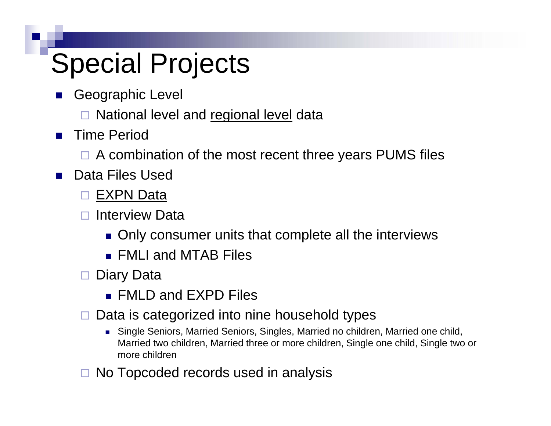# Special Projects

- $\mathcal{L}_{\mathcal{A}}$  Geographic Level
	- □ National level and regional level data
- $\mathcal{L}_{\mathcal{A}}$  Time Period
	- □ A combination of the most recent three years PUMS files
- $\mathcal{L}_{\rm{max}}$  Data Files Used
	- □ EXPN Data
	- П Interview Data
		- $\blacksquare$  Only consumer units that complete all the interviews
		- FMLI and MTAB Files
	- □ Diary Data
		- FMLD and EXPD Files
	- $\Box$  Data is categorized into nine household types
		- Single Seniors, Married Seniors, Singles, Married no children, Married one child, Married two children, Married three or more children, Single one child, Single two or more children
	- $\Box$ No Topcoded records used in analysis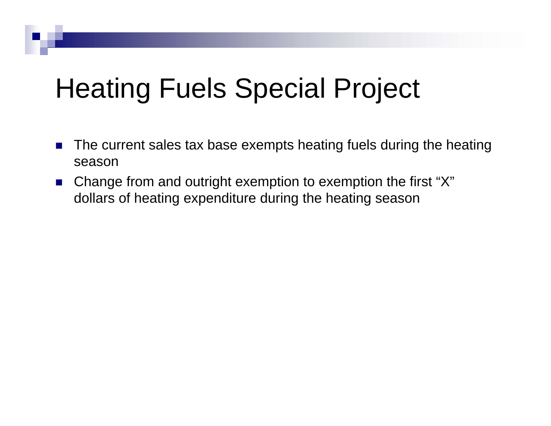# Heating Fuels Special Project

- $\mathcal{L}_{\mathcal{A}}$  The current sales tax base exempts heating fuels during the heating season
- $\mathcal{L}^{\text{max}}_{\text{max}}$ ■ Change from and outright exemption to exemption the first " X "dollars of heating expenditure during the heating season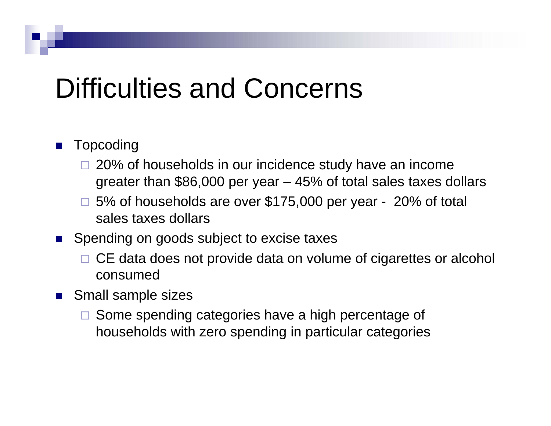## Difficulties and Concerns

#### $\mathcal{L}_{\mathcal{A}}$ Topcoding

- □ 20% of households in our incidence study have an income greater than \$86,000 per year – 45% of total sales taxes dollars
- □ 5% of households are over \$175,000 per year 20% of total sales taxes dollars
- **Spending on goods subject to excise taxes** 
	- □ CE data does not provide data on volume of cigarettes or alcohol consumed
- **Small sample sizes** 
	- □ Some spending categories have a high percentage of households with zero spending in particular categories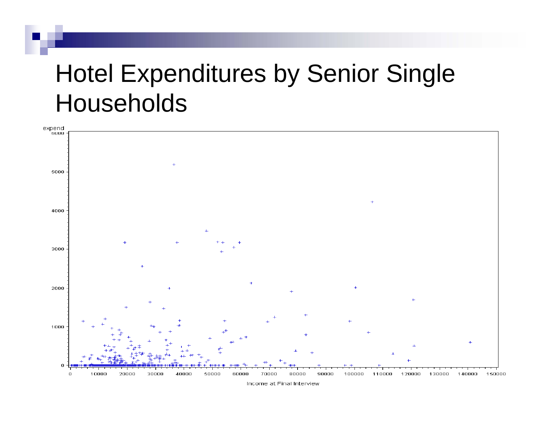### Hotel Expenditures by Senior Single Households